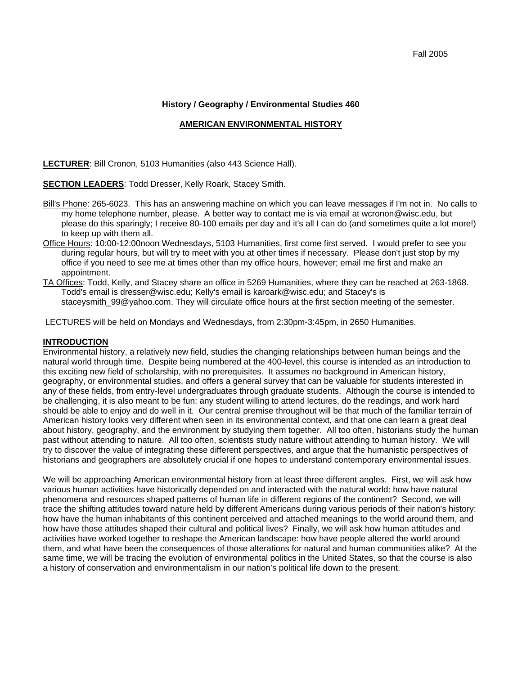#### **History / Geography / Environmental Studies 460**

#### **AMERICAN ENVIRONMENTAL HISTORY**

**LECTURER**: Bill Cronon, 5103 Humanities (also 443 Science Hall).

#### **SECTION LEADERS**: Todd Dresser, Kelly Roark, Stacey Smith.

- Bill's Phone: 265-6023. This has an answering machine on which you can leave messages if I'm not in. No calls to my home telephone number, please. A better way to contact me is via email at wcronon@wisc.edu, but please do this sparingly; I receive 80-100 emails per day and it's all I can do (and sometimes quite a lot more!) to keep up with them all.
- Office Hours: 10:00-12:00noon Wednesdays, 5103 Humanities, first come first served. I would prefer to see you during regular hours, but will try to meet with you at other times if necessary. Please don't just stop by my office if you need to see me at times other than my office hours, however; email me first and make an appointment.
- TA Offices: Todd, Kelly, and Stacey share an office in 5269 Humanities, where they can be reached at 263-1868. Todd's email is dresser@wisc.edu; Kelly's email is karoark@wisc.edu; and Stacey's is staceysmith 99@yahoo.com. They will circulate office hours at the first section meeting of the semester.

LECTURES will be held on Mondays and Wednesdays, from 2:30pm-3:45pm, in 2650 Humanities.

#### **INTRODUCTION**

Environmental history, a relatively new field, studies the changing relationships between human beings and the natural world through time. Despite being numbered at the 400-level, this course is intended as an introduction to this exciting new field of scholarship, with no prerequisites. It assumes no background in American history, geography, or environmental studies, and offers a general survey that can be valuable for students interested in any of these fields, from entry-level undergraduates through graduate students. Although the course is intended to be challenging, it is also meant to be fun: any student willing to attend lectures, do the readings, and work hard should be able to enjoy and do well in it. Our central premise throughout will be that much of the familiar terrain of American history looks very different when seen in its environmental context, and that one can learn a great deal about history, geography, and the environment by studying them together. All too often, historians study the human past without attending to nature. All too often, scientists study nature without attending to human history. We will try to discover the value of integrating these different perspectives, and argue that the humanistic perspectives of historians and geographers are absolutely crucial if one hopes to understand contemporary environmental issues.

We will be approaching American environmental history from at least three different angles. First, we will ask how various human activities have historically depended on and interacted with the natural world: how have natural phenomena and resources shaped patterns of human life in different regions of the continent? Second, we will trace the shifting attitudes toward nature held by different Americans during various periods of their nation's history: how have the human inhabitants of this continent perceived and attached meanings to the world around them, and how have those attitudes shaped their cultural and political lives? Finally, we will ask how human attitudes and activities have worked together to reshape the American landscape: how have people altered the world around them, and what have been the consequences of those alterations for natural and human communities alike? At the same time, we will be tracing the evolution of environmental politics in the United States, so that the course is also a history of conservation and environmentalism in our nation's political life down to the present.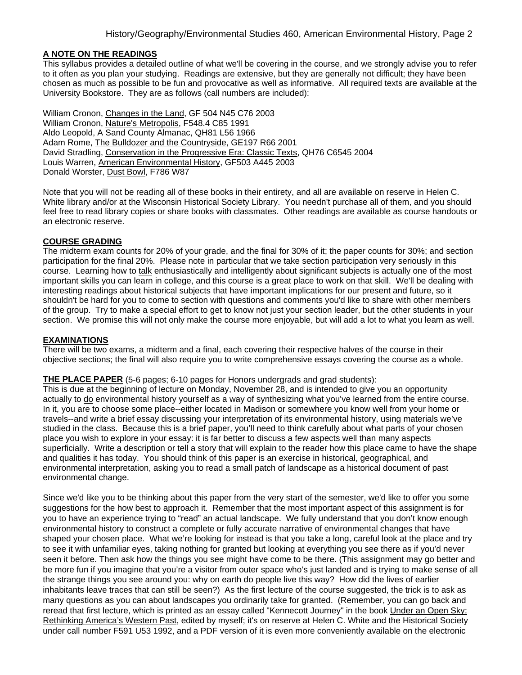### **A NOTE ON THE READINGS**

This syllabus provides a detailed outline of what we'll be covering in the course, and we strongly advise you to refer to it often as you plan your studying. Readings are extensive, but they are generally not difficult; they have been chosen as much as possible to be fun and provocative as well as informative. All required texts are available at the University Bookstore. They are as follows (call numbers are included):

William Cronon, Changes in the Land, GF 504 N45 C76 2003 William Cronon, Nature's Metropolis, F548.4 C85 1991 Aldo Leopold, A Sand County Almanac, QH81 L56 1966 Adam Rome, The Bulldozer and the Countryside, GE197 R66 2001 David Stradling, Conservation in the Progressive Era: Classic Texts, QH76 C6545 2004 Louis Warren, American Environmental History, GF503 A445 2003 Donald Worster, Dust Bowl, F786 W87

Note that you will not be reading all of these books in their entirety, and all are available on reserve in Helen C. White library and/or at the Wisconsin Historical Society Library. You needn't purchase all of them, and you should feel free to read library copies or share books with classmates. Other readings are available as course handouts or an electronic reserve.

### **COURSE GRADING**

The midterm exam counts for 20% of your grade, and the final for 30% of it; the paper counts for 30%; and section participation for the final 20%. Please note in particular that we take section participation very seriously in this course. Learning how to talk enthusiastically and intelligently about significant subjects is actually one of the most important skills you can learn in college, and this course is a great place to work on that skill. We'll be dealing with interesting readings about historical subjects that have important implications for our present and future, so it shouldn't be hard for you to come to section with questions and comments you'd like to share with other members of the group. Try to make a special effort to get to know not just your section leader, but the other students in your section. We promise this will not only make the course more enjoyable, but will add a lot to what you learn as well.

#### **EXAMINATIONS**

There will be two exams, a midterm and a final, each covering their respective halves of the course in their objective sections; the final will also require you to write comprehensive essays covering the course as a whole.

#### **THE PLACE PAPER** (5-6 pages; 6-10 pages for Honors undergrads and grad students):

This is due at the beginning of lecture on Monday, November 28, and is intended to give you an opportunity actually to do environmental history yourself as a way of synthesizing what you've learned from the entire course. In it, you are to choose some place--either located in Madison or somewhere you know well from your home or travels--and write a brief essay discussing your interpretation of its environmental history, using materials we've studied in the class. Because this is a brief paper, you'll need to think carefully about what parts of your chosen place you wish to explore in your essay: it is far better to discuss a few aspects well than many aspects superficially. Write a description or tell a story that will explain to the reader how this place came to have the shape and qualities it has today. You should think of this paper is an exercise in historical, geographical, and environmental interpretation, asking you to read a small patch of landscape as a historical document of past environmental change.

Since we'd like you to be thinking about this paper from the very start of the semester, we'd like to offer you some suggestions for the how best to approach it. Remember that the most important aspect of this assignment is for you to have an experience trying to "read" an actual landscape. We fully understand that you don't know enough environmental history to construct a complete or fully accurate narrative of environmental changes that have shaped your chosen place. What we're looking for instead is that you take a long, careful look at the place and try to see it with unfamiliar eyes, taking nothing for granted but looking at everything you see there as if you'd never seen it before. Then ask how the things you see might have come to be there. (This assignment may go better and be more fun if you imagine that you're a visitor from outer space who's just landed and is trying to make sense of all the strange things you see around you: why on earth do people live this way? How did the lives of earlier inhabitants leave traces that can still be seen?) As the first lecture of the course suggested, the trick is to ask as many questions as you can about landscapes you ordinarily take for granted. (Remember, you can go back and reread that first lecture, which is printed as an essay called "Kennecott Journey" in the book Under an Open Sky: Rethinking America's Western Past, edited by myself; it's on reserve at Helen C. White and the Historical Society under call number F591 U53 1992, and a PDF version of it is even more conveniently available on the electronic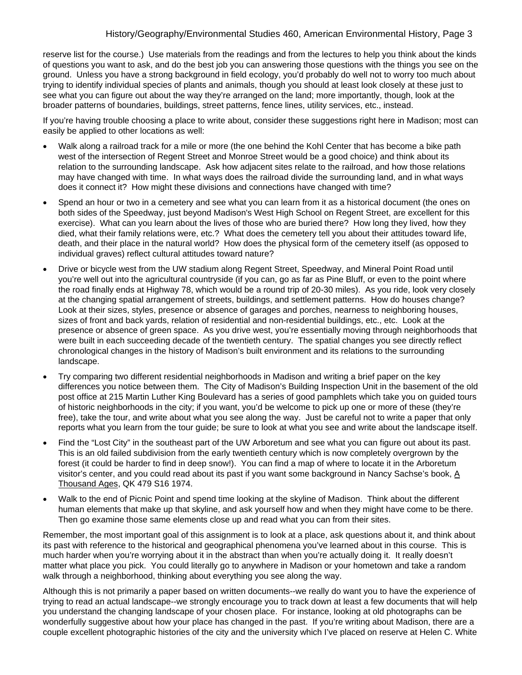reserve list for the course.) Use materials from the readings and from the lectures to help you think about the kinds of questions you want to ask, and do the best job you can answering those questions with the things you see on the ground. Unless you have a strong background in field ecology, you'd probably do well not to worry too much about trying to identify individual species of plants and animals, though you should at least look closely at these just to see what you can figure out about the way they're arranged on the land; more importantly, though, look at the broader patterns of boundaries, buildings, street patterns, fence lines, utility services, etc., instead.

If you're having trouble choosing a place to write about, consider these suggestions right here in Madison; most can easily be applied to other locations as well:

- Walk along a railroad track for a mile or more (the one behind the Kohl Center that has become a bike path west of the intersection of Regent Street and Monroe Street would be a good choice) and think about its relation to the surrounding landscape. Ask how adjacent sites relate to the railroad, and how those relations may have changed with time. In what ways does the railroad divide the surrounding land, and in what ways does it connect it? How might these divisions and connections have changed with time?
- Spend an hour or two in a cemetery and see what you can learn from it as a historical document (the ones on both sides of the Speedway, just beyond Madison's West High School on Regent Street, are excellent for this exercise). What can you learn about the lives of those who are buried there? How long they lived, how they died, what their family relations were, etc.? What does the cemetery tell you about their attitudes toward life, death, and their place in the natural world? How does the physical form of the cemetery itself (as opposed to individual graves) reflect cultural attitudes toward nature?
- Drive or bicycle west from the UW stadium along Regent Street, Speedway, and Mineral Point Road until you're well out into the agricultural countryside (if you can, go as far as Pine Bluff, or even to the point where the road finally ends at Highway 78, which would be a round trip of 20-30 miles). As you ride, look very closely at the changing spatial arrangement of streets, buildings, and settlement patterns. How do houses change? Look at their sizes, styles, presence or absence of garages and porches, nearness to neighboring houses, sizes of front and back yards, relation of residential and non-residential buildings, etc., etc. Look at the presence or absence of green space. As you drive west, you're essentially moving through neighborhoods that were built in each succeeding decade of the twentieth century. The spatial changes you see directly reflect chronological changes in the history of Madison's built environment and its relations to the surrounding landscape.
- Try comparing two different residential neighborhoods in Madison and writing a brief paper on the key differences you notice between them. The City of Madison's Building Inspection Unit in the basement of the old post office at 215 Martin Luther King Boulevard has a series of good pamphlets which take you on guided tours of historic neighborhoods in the city; if you want, you'd be welcome to pick up one or more of these (they're free), take the tour, and write about what you see along the way. Just be careful not to write a paper that only reports what you learn from the tour guide; be sure to look at what you see and write about the landscape itself.
- Find the "Lost City" in the southeast part of the UW Arboretum and see what you can figure out about its past. This is an old failed subdivision from the early twentieth century which is now completely overgrown by the forest (it could be harder to find in deep snow!). You can find a map of where to locate it in the Arboretum visitor's center, and you could read about its past if you want some background in Nancy Sachse's book, A Thousand Ages, QK 479 S16 1974.
- Walk to the end of Picnic Point and spend time looking at the skyline of Madison. Think about the different human elements that make up that skyline, and ask yourself how and when they might have come to be there. Then go examine those same elements close up and read what you can from their sites.

Remember, the most important goal of this assignment is to look at a place, ask questions about it, and think about its past with reference to the historical and geographical phenomena you've learned about in this course. This is much harder when you're worrying about it in the abstract than when you're actually doing it. It really doesn't matter what place you pick. You could literally go to anywhere in Madison or your hometown and take a random walk through a neighborhood, thinking about everything you see along the way.

Although this is not primarily a paper based on written documents--we really do want you to have the experience of trying to read an actual landscape--we strongly encourage you to track down at least a few documents that will help you understand the changing landscape of your chosen place. For instance, looking at old photographs can be wonderfully suggestive about how your place has changed in the past. If you're writing about Madison, there are a couple excellent photographic histories of the city and the university which I've placed on reserve at Helen C. White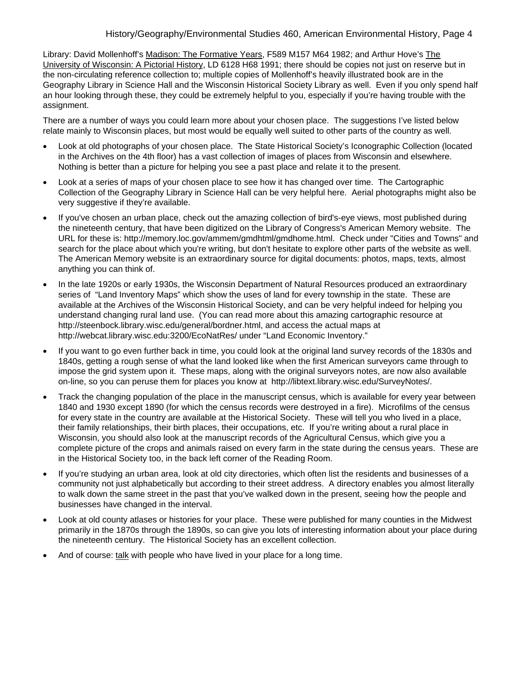Library: David Mollenhoff's Madison: The Formative Years, F589 M157 M64 1982; and Arthur Hove's The University of Wisconsin: A Pictorial History, LD 6128 H68 1991; there should be copies not just on reserve but in the non-circulating reference collection to; multiple copies of Mollenhoff's heavily illustrated book are in the Geography Library in Science Hall and the Wisconsin Historical Society Library as well. Even if you only spend half an hour looking through these, they could be extremely helpful to you, especially if you're having trouble with the assignment.

There are a number of ways you could learn more about your chosen place. The suggestions I've listed below relate mainly to Wisconsin places, but most would be equally well suited to other parts of the country as well.

- Look at old photographs of your chosen place. The State Historical Society's Iconographic Collection (located in the Archives on the 4th floor) has a vast collection of images of places from Wisconsin and elsewhere. Nothing is better than a picture for helping you see a past place and relate it to the present.
- Look at a series of maps of your chosen place to see how it has changed over time. The Cartographic Collection of the Geography Library in Science Hall can be very helpful here. Aerial photographs might also be very suggestive if they're available.
- If you've chosen an urban place, check out the amazing collection of bird's-eye views, most published during the nineteenth century, that have been digitized on the Library of Congress's American Memory website. The URL for these is: http://memory.loc.gov/ammem/gmdhtml/gmdhome.html. Check under "Cities and Towns" and search for the place about which you're writing, but don't hesitate to explore other parts of the website as well. The American Memory website is an extraordinary source for digital documents: photos, maps, texts, almost anything you can think of.
- In the late 1920s or early 1930s, the Wisconsin Department of Natural Resources produced an extraordinary series of "Land Inventory Maps" which show the uses of land for every township in the state. These are available at the Archives of the Wisconsin Historical Society, and can be very helpful indeed for helping you understand changing rural land use. (You can read more about this amazing cartographic resource at http://steenbock.library.wisc.edu/general/bordner.html, and access the actual maps at http://webcat.library.wisc.edu:3200/EcoNatRes/ under "Land Economic Inventory."
- If you want to go even further back in time, you could look at the original land survey records of the 1830s and 1840s, getting a rough sense of what the land looked like when the first American surveyors came through to impose the grid system upon it. These maps, along with the original surveyors notes, are now also available on-line, so you can peruse them for places you know at http://libtext.library.wisc.edu/SurveyNotes/.
- Track the changing population of the place in the manuscript census, which is available for every year between 1840 and 1930 except 1890 (for which the census records were destroyed in a fire). Microfilms of the census for every state in the country are available at the Historical Society. These will tell you who lived in a place, their family relationships, their birth places, their occupations, etc. If you're writing about a rural place in Wisconsin, you should also look at the manuscript records of the Agricultural Census, which give you a complete picture of the crops and animals raised on every farm in the state during the census years. These are in the Historical Society too, in the back left corner of the Reading Room.
- If you're studying an urban area, look at old city directories, which often list the residents and businesses of a community not just alphabetically but according to their street address. A directory enables you almost literally to walk down the same street in the past that you've walked down in the present, seeing how the people and businesses have changed in the interval.
- Look at old county atlases or histories for your place. These were published for many counties in the Midwest primarily in the 1870s through the 1890s, so can give you lots of interesting information about your place during the nineteenth century. The Historical Society has an excellent collection.
- And of course: talk with people who have lived in your place for a long time.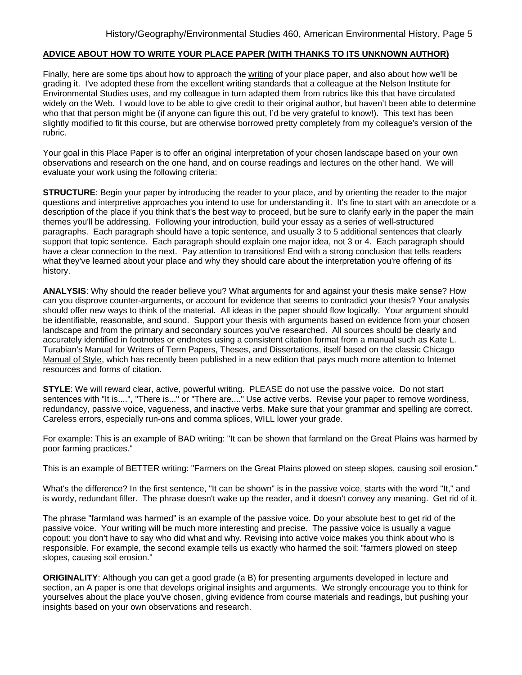### **ADVICE ABOUT HOW TO WRITE YOUR PLACE PAPER (WITH THANKS TO ITS UNKNOWN AUTHOR)**

Finally, here are some tips about how to approach the writing of your place paper, and also about how we'll be grading it. I've adopted these from the excellent writing standards that a colleague at the Nelson Institute for Environmental Studies uses, and my colleague in turn adapted them from rubrics like this that have circulated widely on the Web. I would love to be able to give credit to their original author, but haven't been able to determine who that that person might be (if anyone can figure this out, I'd be very grateful to know!). This text has been slightly modified to fit this course, but are otherwise borrowed pretty completely from my colleague's version of the rubric.

Your goal in this Place Paper is to offer an original interpretation of your chosen landscape based on your own observations and research on the one hand, and on course readings and lectures on the other hand. We will evaluate your work using the following criteria:

**STRUCTURE**: Begin your paper by introducing the reader to your place, and by orienting the reader to the major questions and interpretive approaches you intend to use for understanding it. It's fine to start with an anecdote or a description of the place if you think that's the best way to proceed, but be sure to clarify early in the paper the main themes you'll be addressing. Following your introduction, build your essay as a series of well-structured paragraphs. Each paragraph should have a topic sentence, and usually 3 to 5 additional sentences that clearly support that topic sentence. Each paragraph should explain one major idea, not 3 or 4. Each paragraph should have a clear connection to the next. Pay attention to transitions! End with a strong conclusion that tells readers what they've learned about your place and why they should care about the interpretation you're offering of its history.

**ANALYSIS**: Why should the reader believe you? What arguments for and against your thesis make sense? How can you disprove counter-arguments, or account for evidence that seems to contradict your thesis? Your analysis should offer new ways to think of the material. All ideas in the paper should flow logically. Your argument should be identifiable, reasonable, and sound. Support your thesis with arguments based on evidence from your chosen landscape and from the primary and secondary sources you've researched. All sources should be clearly and accurately identified in footnotes or endnotes using a consistent citation format from a manual such as Kate L. Turabian's Manual for Writers of Term Papers, Theses, and Dissertations, itself based on the classic Chicago Manual of Style, which has recently been published in a new edition that pays much more attention to Internet resources and forms of citation.

**STYLE**: We will reward clear, active, powerful writing. PLEASE do not use the passive voice. Do not start sentences with "It is....", "There is..." or "There are...." Use active verbs. Revise your paper to remove wordiness, redundancy, passive voice, vagueness, and inactive verbs. Make sure that your grammar and spelling are correct. Careless errors, especially run-ons and comma splices, WILL lower your grade.

For example: This is an example of BAD writing: "It can be shown that farmland on the Great Plains was harmed by poor farming practices."

This is an example of BETTER writing: "Farmers on the Great Plains plowed on steep slopes, causing soil erosion."

What's the difference? In the first sentence, "It can be shown" is in the passive voice, starts with the word "It," and is wordy, redundant filler. The phrase doesn't wake up the reader, and it doesn't convey any meaning. Get rid of it.

The phrase "farmland was harmed" is an example of the passive voice. Do your absolute best to get rid of the passive voice. Your writing will be much more interesting and precise. The passive voice is usually a vague copout: you don't have to say who did what and why. Revising into active voice makes you think about who is responsible. For example, the second example tells us exactly who harmed the soil: "farmers plowed on steep slopes, causing soil erosion."

**ORIGINALITY**: Although you can get a good grade (a B) for presenting arguments developed in lecture and section, an A paper is one that develops original insights and arguments. We strongly encourage you to think for yourselves about the place you've chosen, giving evidence from course materials and readings, but pushing your insights based on your own observations and research.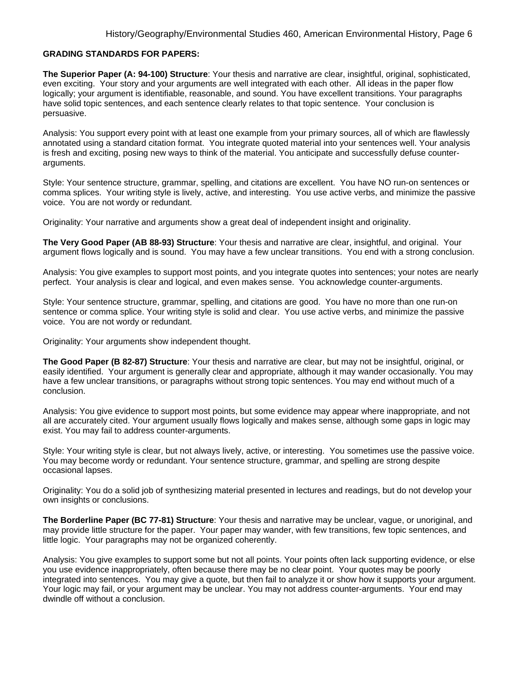### **GRADING STANDARDS FOR PAPERS:**

**The Superior Paper (A: 94-100) Structure**: Your thesis and narrative are clear, insightful, original, sophisticated, even exciting. Your story and your arguments are well integrated with each other. All ideas in the paper flow logically; your argument is identifiable, reasonable, and sound. You have excellent transitions. Your paragraphs have solid topic sentences, and each sentence clearly relates to that topic sentence. Your conclusion is persuasive.

Analysis: You support every point with at least one example from your primary sources, all of which are flawlessly annotated using a standard citation format. You integrate quoted material into your sentences well. Your analysis is fresh and exciting, posing new ways to think of the material. You anticipate and successfully defuse counterarguments.

Style: Your sentence structure, grammar, spelling, and citations are excellent. You have NO run-on sentences or comma splices. Your writing style is lively, active, and interesting. You use active verbs, and minimize the passive voice. You are not wordy or redundant.

Originality: Your narrative and arguments show a great deal of independent insight and originality.

**The Very Good Paper (AB 88-93) Structure**: Your thesis and narrative are clear, insightful, and original. Your argument flows logically and is sound. You may have a few unclear transitions. You end with a strong conclusion.

Analysis: You give examples to support most points, and you integrate quotes into sentences; your notes are nearly perfect. Your analysis is clear and logical, and even makes sense. You acknowledge counter-arguments.

Style: Your sentence structure, grammar, spelling, and citations are good. You have no more than one run-on sentence or comma splice. Your writing style is solid and clear. You use active verbs, and minimize the passive voice. You are not wordy or redundant.

Originality: Your arguments show independent thought.

**The Good Paper (B 82-87) Structure**: Your thesis and narrative are clear, but may not be insightful, original, or easily identified. Your argument is generally clear and appropriate, although it may wander occasionally. You may have a few unclear transitions, or paragraphs without strong topic sentences. You may end without much of a conclusion.

Analysis: You give evidence to support most points, but some evidence may appear where inappropriate, and not all are accurately cited. Your argument usually flows logically and makes sense, although some gaps in logic may exist. You may fail to address counter-arguments.

Style: Your writing style is clear, but not always lively, active, or interesting. You sometimes use the passive voice. You may become wordy or redundant. Your sentence structure, grammar, and spelling are strong despite occasional lapses.

Originality: You do a solid job of synthesizing material presented in lectures and readings, but do not develop your own insights or conclusions.

**The Borderline Paper (BC 77-81) Structure**: Your thesis and narrative may be unclear, vague, or unoriginal, and may provide little structure for the paper. Your paper may wander, with few transitions, few topic sentences, and little logic. Your paragraphs may not be organized coherently.

Analysis: You give examples to support some but not all points. Your points often lack supporting evidence, or else you use evidence inappropriately, often because there may be no clear point. Your quotes may be poorly integrated into sentences. You may give a quote, but then fail to analyze it or show how it supports your argument. Your logic may fail, or your argument may be unclear. You may not address counter-arguments. Your end may dwindle off without a conclusion.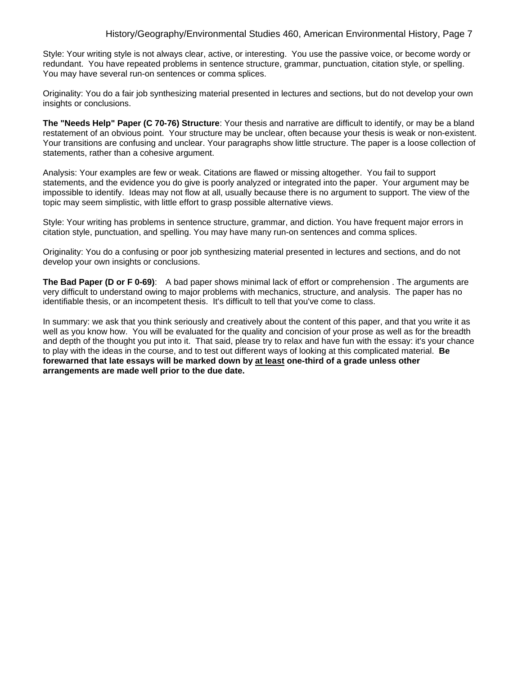Style: Your writing style is not always clear, active, or interesting. You use the passive voice, or become wordy or redundant. You have repeated problems in sentence structure, grammar, punctuation, citation style, or spelling. You may have several run-on sentences or comma splices.

Originality: You do a fair job synthesizing material presented in lectures and sections, but do not develop your own insights or conclusions.

**The "Needs Help" Paper (C 70-76) Structure**: Your thesis and narrative are difficult to identify, or may be a bland restatement of an obvious point. Your structure may be unclear, often because your thesis is weak or non-existent. Your transitions are confusing and unclear. Your paragraphs show little structure. The paper is a loose collection of statements, rather than a cohesive argument.

Analysis: Your examples are few or weak. Citations are flawed or missing altogether. You fail to support statements, and the evidence you do give is poorly analyzed or integrated into the paper. Your argument may be impossible to identify. Ideas may not flow at all, usually because there is no argument to support. The view of the topic may seem simplistic, with little effort to grasp possible alternative views.

Style: Your writing has problems in sentence structure, grammar, and diction. You have frequent major errors in citation style, punctuation, and spelling. You may have many run-on sentences and comma splices.

Originality: You do a confusing or poor job synthesizing material presented in lectures and sections, and do not develop your own insights or conclusions.

**The Bad Paper (D or F 0-69)**: A bad paper shows minimal lack of effort or comprehension . The arguments are very difficult to understand owing to major problems with mechanics, structure, and analysis. The paper has no identifiable thesis, or an incompetent thesis. It's difficult to tell that you've come to class.

In summary: we ask that you think seriously and creatively about the content of this paper, and that you write it as well as you know how. You will be evaluated for the quality and concision of your prose as well as for the breadth and depth of the thought you put into it. That said, please try to relax and have fun with the essay: it's your chance to play with the ideas in the course, and to test out different ways of looking at this complicated material. **Be forewarned that late essays will be marked down by at least one-third of a grade unless other arrangements are made well prior to the due date.**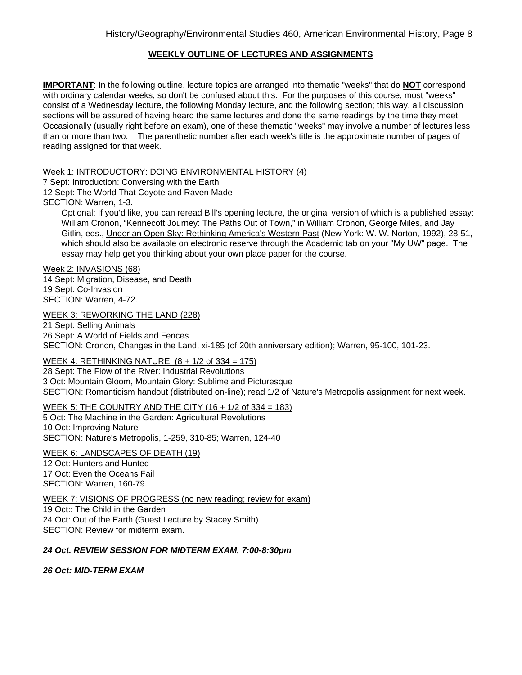# **WEEKLY OUTLINE OF LECTURES AND ASSIGNMENTS**

**IMPORTANT**: In the following outline, lecture topics are arranged into thematic "weeks" that do **NOT** correspond with ordinary calendar weeks, so don't be confused about this. For the purposes of this course, most "weeks" consist of a Wednesday lecture, the following Monday lecture, and the following section; this way, all discussion sections will be assured of having heard the same lectures and done the same readings by the time they meet. Occasionally (usually right before an exam), one of these thematic "weeks" may involve a number of lectures less than or more than two. The parenthetic number after each week's title is the approximate number of pages of reading assigned for that week.

## Week 1: INTRODUCTORY: DOING ENVIRONMENTAL HISTORY (4)

7 Sept: Introduction: Conversing with the Earth

12 Sept: The World That Coyote and Raven Made

SECTION: Warren, 1-3.

Optional: If you'd like, you can reread Bill's opening lecture, the original version of which is a published essay: William Cronon, "Kennecott Journey: The Paths Out of Town," in William Cronon, George Miles, and Jay Gitlin, eds., Under an Open Sky: Rethinking America's Western Past (New York: W. W. Norton, 1992), 28-51, which should also be available on electronic reserve through the Academic tab on your "My UW" page. The essay may help get you thinking about your own place paper for the course.

Week 2: INVASIONS (68) 14 Sept: Migration, Disease, and Death 19 Sept: Co-Invasion SECTION: Warren, 4-72.

WEEK 3: REWORKING THE LAND (228)

21 Sept: Selling Animals 26 Sept: A World of Fields and Fences SECTION: Cronon, Changes in the Land, xi-185 (of 20th anniversary edition); Warren, 95-100, 101-23.

WEEK 4: RETHINKING NATURE  $(8 + 1/2)$  of  $334 = 175$ )

28 Sept: The Flow of the River: Industrial Revolutions 3 Oct: Mountain Gloom, Mountain Glory: Sublime and Picturesque SECTION: Romanticism handout (distributed on-line); read 1/2 of Nature's Metropolis assignment for next week.

# WEEK 5: THE COUNTRY AND THE CITY (16 + 1/2 of 334 = 183)

5 Oct: The Machine in the Garden: Agricultural Revolutions 10 Oct: Improving Nature SECTION: Nature's Metropolis, 1-259, 310-85; Warren, 124-40

WEEK 6: LANDSCAPES OF DEATH (19)

12 Oct: Hunters and Hunted 17 Oct: Even the Oceans Fail SECTION: Warren, 160-79.

WEEK 7: VISIONS OF PROGRESS (no new reading; review for exam) 19 Oct:: The Child in the Garden 24 Oct: Out of the Earth (Guest Lecture by Stacey Smith)

SECTION: Review for midterm exam.

## *24 Oct. REVIEW SESSION FOR MIDTERM EXAM, 7:00-8:30pm*

*26 Oct: MID-TERM EXAM*